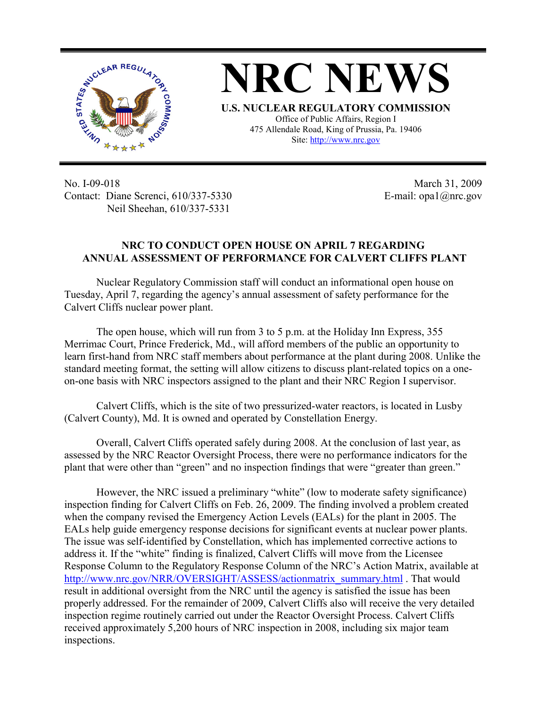

**NRC NEWS U.S. NUCLEAR REGULATORY COMMISSION** Office of Public Affairs, Region I 475 Allendale Road, King of Prussia, Pa. 19406

Site: http://www.nrc.gov

No. I-09-018 Contact: Diane Screnci, 610/337-5330 Neil Sheehan, 610/337-5331

 March 31, 2009 E-mail: opa1@nrc.gov

## **NRC TO CONDUCT OPEN HOUSE ON APRIL 7 REGARDING ANNUAL ASSESSMENT OF PERFORMANCE FOR CALVERT CLIFFS PLANT**

Nuclear Regulatory Commission staff will conduct an informational open house on Tuesday, April 7, regarding the agency's annual assessment of safety performance for the Calvert Cliffs nuclear power plant.

The open house, which will run from 3 to 5 p.m. at the Holiday Inn Express, 355 Merrimac Court, Prince Frederick, Md., will afford members of the public an opportunity to learn first-hand from NRC staff members about performance at the plant during 2008. Unlike the standard meeting format, the setting will allow citizens to discuss plant-related topics on a oneon-one basis with NRC inspectors assigned to the plant and their NRC Region I supervisor.

Calvert Cliffs, which is the site of two pressurized-water reactors, is located in Lusby (Calvert County), Md. It is owned and operated by Constellation Energy.

Overall, Calvert Cliffs operated safely during 2008. At the conclusion of last year, as assessed by the NRC Reactor Oversight Process, there were no performance indicators for the plant that were other than "green" and no inspection findings that were "greater than green."

 However, the NRC issued a preliminary "white" (low to moderate safety significance) inspection finding for Calvert Cliffs on Feb. 26, 2009. The finding involved a problem created when the company revised the Emergency Action Levels (EALs) for the plant in 2005. The EALs help guide emergency response decisions for significant events at nuclear power plants. The issue was self-identified by Constellation, which has implemented corrective actions to address it. If the "white" finding is finalized, Calvert Cliffs will move from the Licensee Response Column to the Regulatory Response Column of the NRC's Action Matrix, available at http://www.nrc.gov/NRR/OVERSIGHT/ASSESS/actionmatrix\_summary.html . That would result in additional oversight from the NRC until the agency is satisfied the issue has been properly addressed. For the remainder of 2009, Calvert Cliffs also will receive the very detailed inspection regime routinely carried out under the Reactor Oversight Process. Calvert Cliffs received approximately 5,200 hours of NRC inspection in 2008, including six major team inspections.